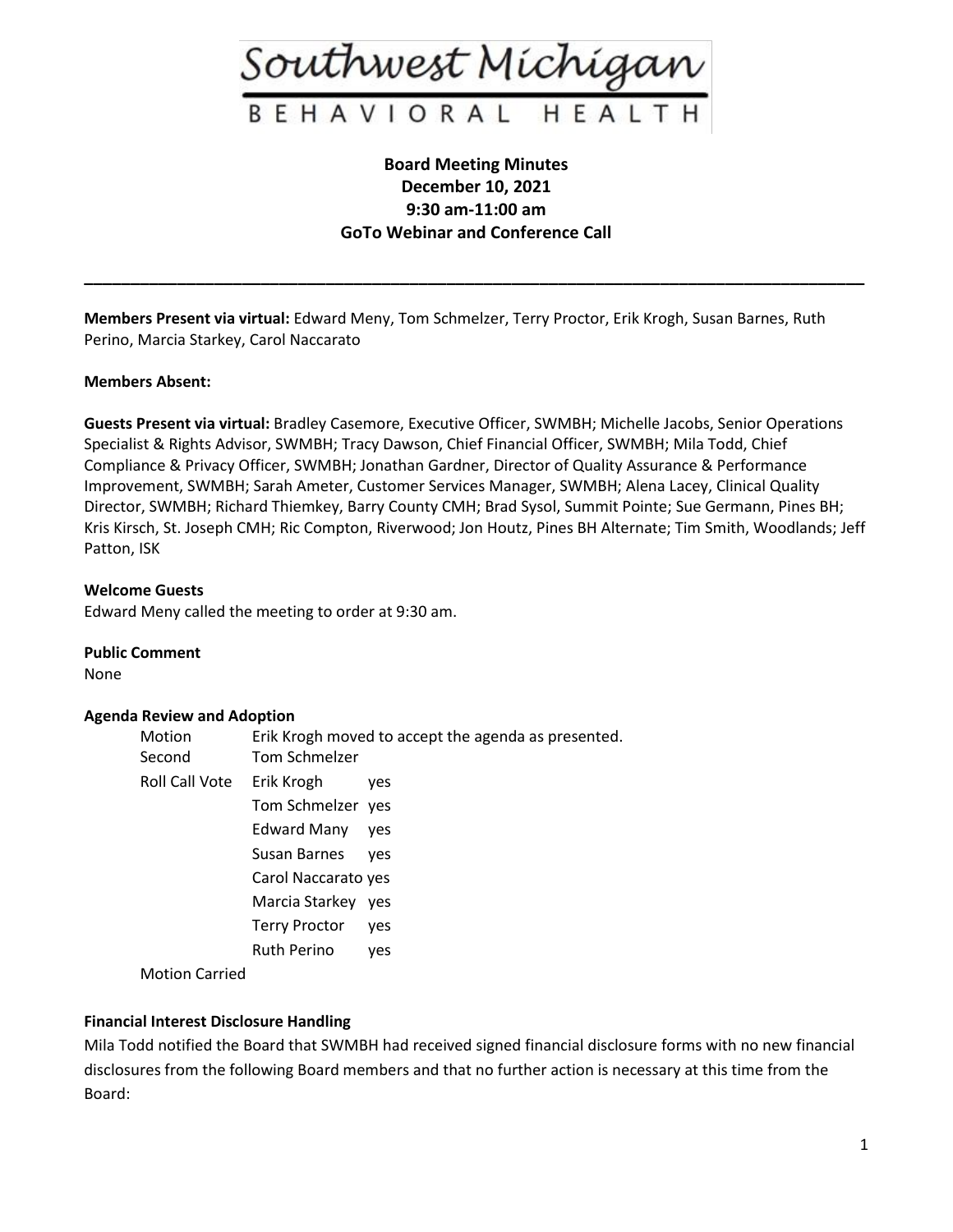

# **Board Meeting Minutes December 10, 2021 9:30 am-11:00 am GoTo Webinar and Conference Call**

**\_\_\_\_\_\_\_\_\_\_\_\_\_\_\_\_\_\_\_\_\_\_\_\_\_\_\_\_\_\_\_\_\_\_\_\_\_\_\_\_\_\_\_\_\_\_\_\_\_\_\_\_\_\_\_\_\_\_\_\_\_\_\_\_\_\_\_\_\_\_\_\_\_\_\_\_\_\_\_\_\_\_\_\_**

**Members Present via virtual:** Edward Meny, Tom Schmelzer, Terry Proctor, Erik Krogh, Susan Barnes, Ruth Perino, Marcia Starkey, Carol Naccarato

# **Members Absent:**

**Guests Present via virtual:** Bradley Casemore, Executive Officer, SWMBH; Michelle Jacobs, Senior Operations Specialist & Rights Advisor, SWMBH; Tracy Dawson, Chief Financial Officer, SWMBH; Mila Todd, Chief Compliance & Privacy Officer, SWMBH; Jonathan Gardner, Director of Quality Assurance & Performance Improvement, SWMBH; Sarah Ameter, Customer Services Manager, SWMBH; Alena Lacey, Clinical Quality Director, SWMBH; Richard Thiemkey, Barry County CMH; Brad Sysol, Summit Pointe; Sue Germann, Pines BH; Kris Kirsch, St. Joseph CMH; Ric Compton, Riverwood; Jon Houtz, Pines BH Alternate; Tim Smith, Woodlands; Jeff Patton, ISK

# **Welcome Guests**

Edward Meny called the meeting to order at 9:30 am.

**Public Comment**

None

# **Agenda Review and Adoption**

| Motion<br>Second | Tom Schmelzer        | Erik Krogh moved to accept the agenda as presented. |
|------------------|----------------------|-----------------------------------------------------|
| Roll Call Vote   | Erik Krogh           | <b>ves</b>                                          |
|                  | Tom Schmelzer yes    |                                                     |
|                  | <b>Edward Many</b>   | ves                                                 |
|                  | Susan Barnes         | ves                                                 |
|                  | Carol Naccarato yes  |                                                     |
|                  | Marcia Starkey yes   |                                                     |
|                  | <b>Terry Proctor</b> | <b>ves</b>                                          |
|                  | Ruth Perino          | ves                                                 |
| Mation Corriod   |                      |                                                     |

Motion Carried

# **Financial Interest Disclosure Handling**

Mila Todd notified the Board that SWMBH had received signed financial disclosure forms with no new financial disclosures from the following Board members and that no further action is necessary at this time from the Board: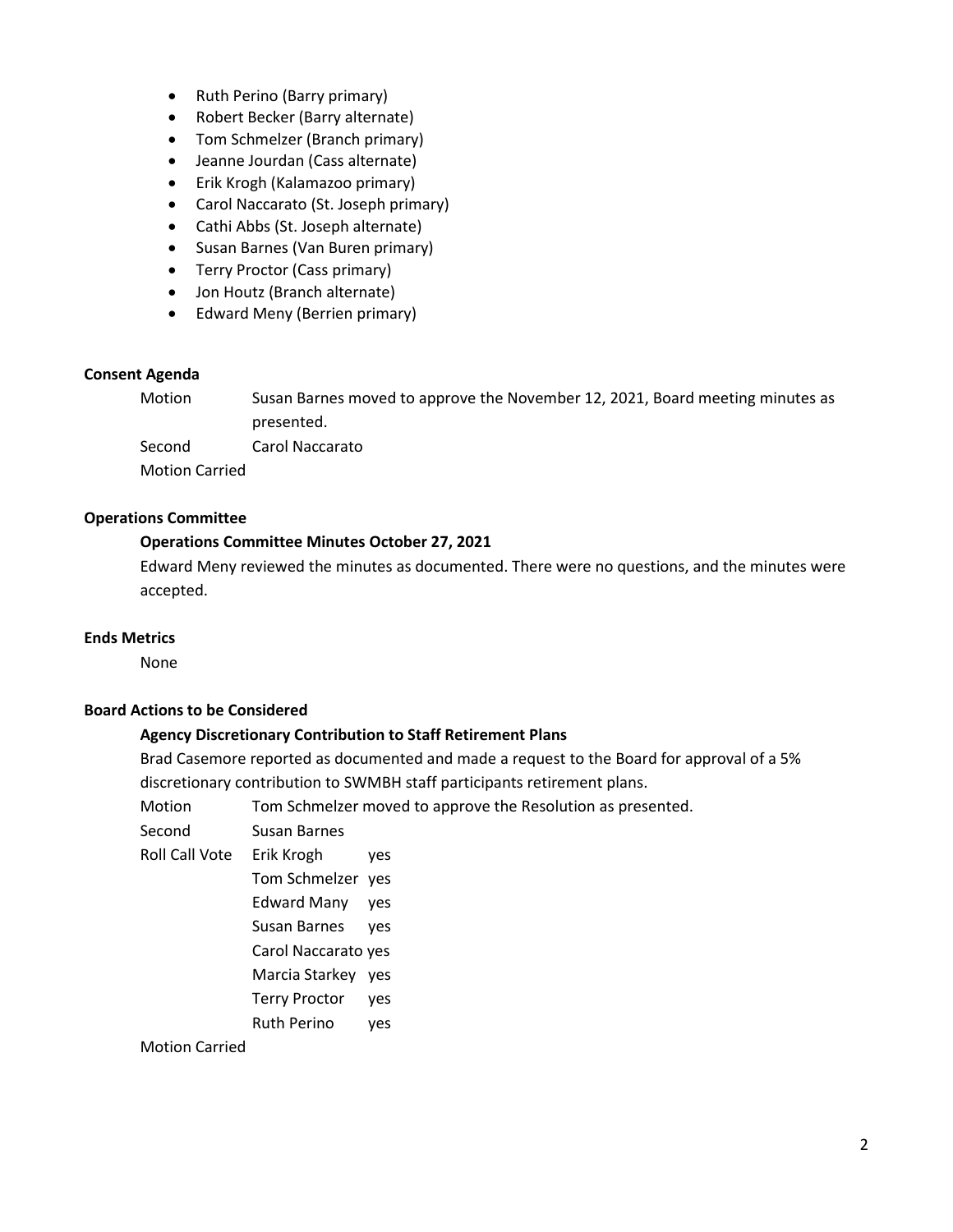- Ruth Perino (Barry primary)
- Robert Becker (Barry alternate)
- Tom Schmelzer (Branch primary)
- Jeanne Jourdan (Cass alternate)
- Erik Krogh (Kalamazoo primary)
- Carol Naccarato (St. Joseph primary)
- Cathi Abbs (St. Joseph alternate)
- Susan Barnes (Van Buren primary)
- Terry Proctor (Cass primary)
- Jon Houtz (Branch alternate)
- Edward Meny (Berrien primary)

# **Consent Agenda**

Motion Susan Barnes moved to approve the November 12, 2021, Board meeting minutes as presented. Second Carol Naccarato Motion Carried

# **Operations Committee**

# **Operations Committee Minutes October 27, 2021**

Edward Meny reviewed the minutes as documented. There were no questions, and the minutes were accepted.

# **Ends Metrics**

None

# **Board Actions to be Considered**

# **Agency Discretionary Contribution to Staff Retirement Plans**

Brad Casemore reported as documented and made a request to the Board for approval of a 5% discretionary contribution to SWMBH staff participants retirement plans.

| Motion          | Tom Schmelzer moved to approve the Resolution as presented. |
|-----------------|-------------------------------------------------------------|
| C - - - - - - 1 | Consultation District State                                 |

Second Susan Barnes

- Roll Call Vote Erik Krogh yes
	- Tom Schmelzer yes
	- Edward Many yes
	- Susan Barnes yes
	- Carol Naccarato yes
	- Marcia Starkey yes
	- Terry Proctor yes
	- Ruth Perino yes

# Motion Carried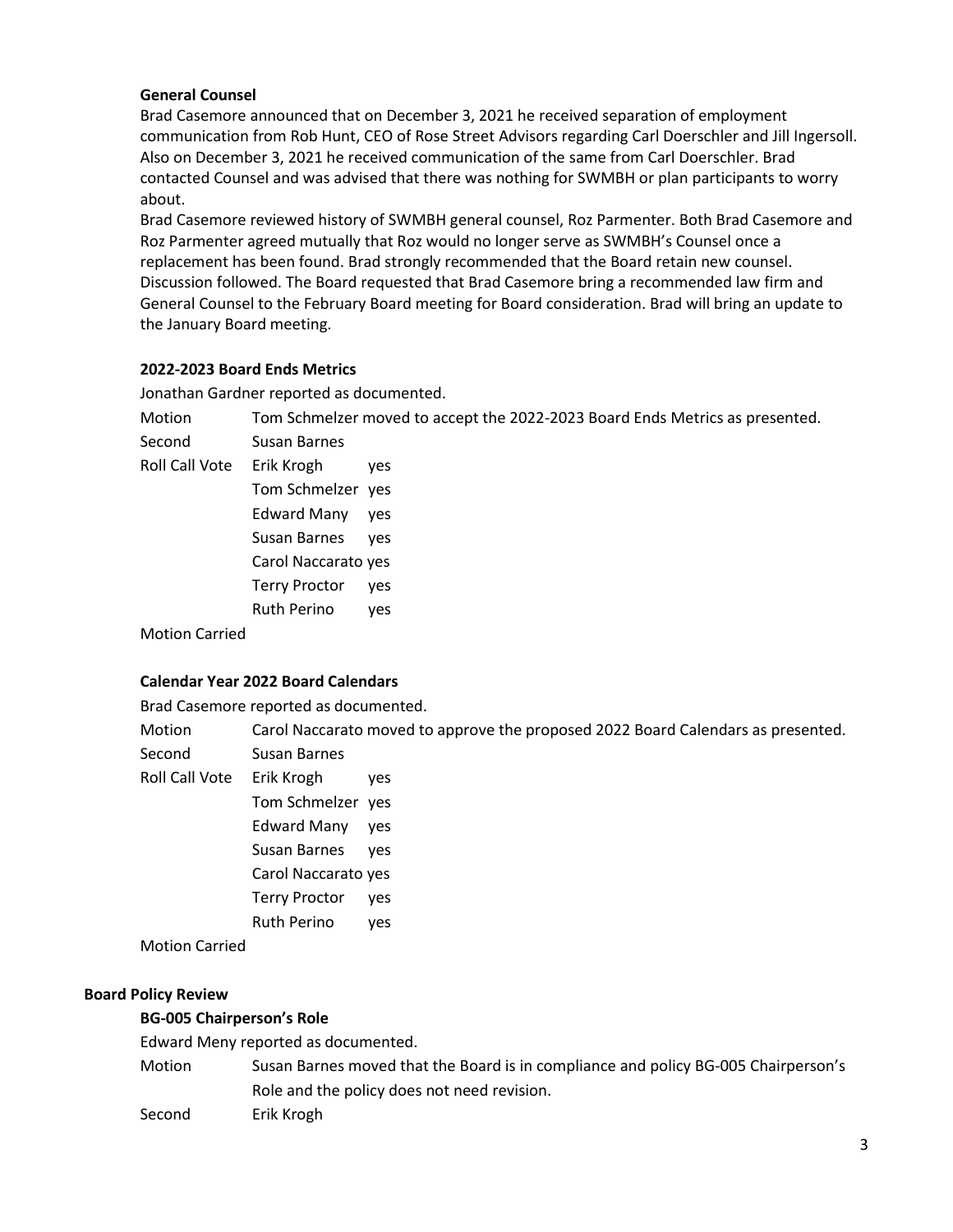# **General Counsel**

Brad Casemore announced that on December 3, 2021 he received separation of employment communication from Rob Hunt, CEO of Rose Street Advisors regarding Carl Doerschler and Jill Ingersoll. Also on December 3, 2021 he received communication of the same from Carl Doerschler. Brad contacted Counsel and was advised that there was nothing for SWMBH or plan participants to worry about.

Brad Casemore reviewed history of SWMBH general counsel, Roz Parmenter. Both Brad Casemore and Roz Parmenter agreed mutually that Roz would no longer serve as SWMBH's Counsel once a replacement has been found. Brad strongly recommended that the Board retain new counsel. Discussion followed. The Board requested that Brad Casemore bring a recommended law firm and General Counsel to the February Board meeting for Board consideration. Brad will bring an update to the January Board meeting.

# **2022-2023 Board Ends Metrics**

Jonathan Gardner reported as documented.

Motion Tom Schmelzer moved to accept the 2022-2023 Board Ends Metrics as presented. Second Susan Barnes

Roll Call Vote Erik Krogh yes

Tom Schmelzer yes Edward Many yes Susan Barnes yes Carol Naccarato yes Terry Proctor yes Ruth Perino yes

Motion Carried

# **Calendar Year 2022 Board Calendars**

Brad Casemore reported as documented.

Motion Carol Naccarato moved to approve the proposed 2022 Board Calendars as presented.

- Second Susan Barnes
- Roll Call Vote Erik Krogh yes
	- Tom Schmelzer yes
		- Edward Many yes
		- Susan Barnes yes
		- Carol Naccarato yes
		- Terry Proctor yes
		- Ruth Perino yes

Motion Carried

# **Board Policy Review**

# **BG-005 Chairperson's Role**

Edward Meny reported as documented.

- Motion Susan Barnes moved that the Board is in compliance and policy BG-005 Chairperson's Role and the policy does not need revision.
- Second Erik Krogh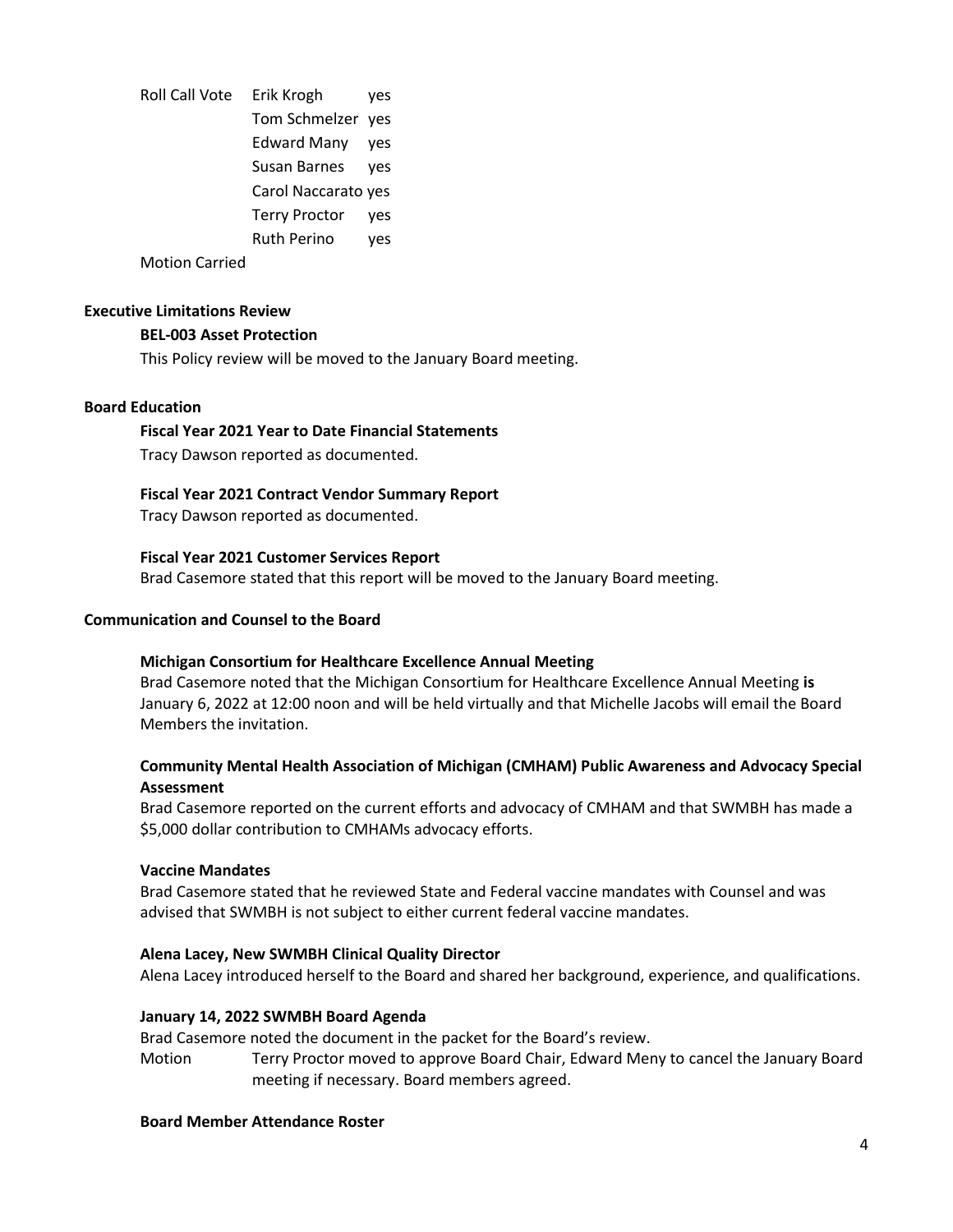Roll Call Vote Erik Krogh yes Tom Schmelzer yes Edward Many yes Susan Barnes yes Carol Naccarato yes Terry Proctor yes Ruth Perino yes

Motion Carried

#### **Executive Limitations Review**

# **BEL-003 Asset Protection**

This Policy review will be moved to the January Board meeting.

# **Board Education**

# **Fiscal Year 2021 Year to Date Financial Statements**

Tracy Dawson reported as documented.

# **Fiscal Year 2021 Contract Vendor Summary Report**

Tracy Dawson reported as documented.

#### **Fiscal Year 2021 Customer Services Report**

Brad Casemore stated that this report will be moved to the January Board meeting.

#### **Communication and Counsel to the Board**

#### **Michigan Consortium for Healthcare Excellence Annual Meeting**

Brad Casemore noted that the Michigan Consortium for Healthcare Excellence Annual Meeting **is**  January 6, 2022 at 12:00 noon and will be held virtually and that Michelle Jacobs will email the Board Members the invitation.

# **Community Mental Health Association of Michigan (CMHAM) Public Awareness and Advocacy Special Assessment**

Brad Casemore reported on the current efforts and advocacy of CMHAM and that SWMBH has made a \$5,000 dollar contribution to CMHAMs advocacy efforts.

#### **Vaccine Mandates**

Brad Casemore stated that he reviewed State and Federal vaccine mandates with Counsel and was advised that SWMBH is not subject to either current federal vaccine mandates.

# **Alena Lacey, New SWMBH Clinical Quality Director**

Alena Lacey introduced herself to the Board and shared her background, experience, and qualifications.

#### **January 14, 2022 SWMBH Board Agenda**

Brad Casemore noted the document in the packet for the Board's review.

Motion Terry Proctor moved to approve Board Chair, Edward Meny to cancel the January Board meeting if necessary. Board members agreed.

#### **Board Member Attendance Roster**